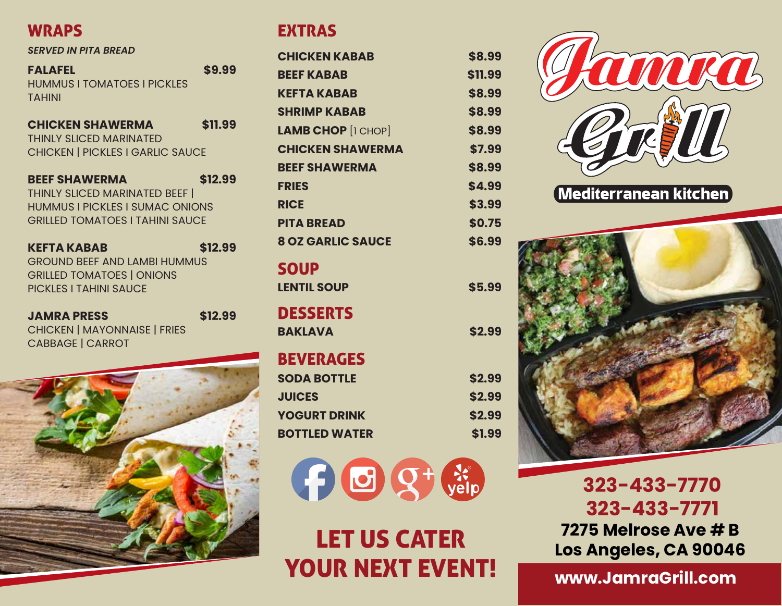## **WRAPS**

#### *SERVED IN PITA BREAD*

**FALAFEL \$9.99** HUMMUS I TOMATOES I PICKLES TAHINI

| <b>CHICKEN SHAWERMA</b>                 | \$11.99 |
|-----------------------------------------|---------|
| <b>THINLY SLICED MARINATED</b>          |         |
| <b>CHICKEN   PICKLES I GARLIC SAUCE</b> |         |

| <b>BEEF SHAWERMA</b>                   | \$12.99 |
|----------------------------------------|---------|
| THINLY SLICED MARINATED BEEF           |         |
| <b>HUMMUS I PICKLES I SUMAC ONIONS</b> |         |
| <b>GRILLED TOMATOES I TAHINI SAUCE</b> |         |

**KEFTA KABAB \$12.99** GROUND BEEF AND LAMBI HUMMUS GRILLED TOMATOES | ONIONS PICKLES I TAHINI SAUCE

| <b>JAMRA PRESS</b>                  | \$12.99 |
|-------------------------------------|---------|
| <b>CHICKEN   MAYONNAISE   FRIES</b> |         |
| <b>CABBAGE   CARROT</b>             |         |



## EXTRAS

| <b>CHICKEN KABAB</b>      | \$8.99  |
|---------------------------|---------|
| <b>BEEF KABAB</b>         | \$11.99 |
| <b>KEFTA KABAB</b>        | \$8.99  |
| <b>SHRIMP KABAB</b>       | \$8.99  |
| <b>LAMB CHOP</b> [1 CHOP] | \$8.99  |
| <b>CHICKEN SHAWERMA</b>   | \$7.99  |
| <b>BEEF SHAWERMA</b>      | \$8.99  |
| <b>FRIES</b>              | \$4.99  |
| <b>RICE</b>               | \$3.99  |
| <b>PITA BREAD</b>         | \$0.75  |
| <b>8 OZ GARLIC SAUCE</b>  | \$6.99  |
| <b>SOUP</b>               |         |
| <b>LENTIL SOUP</b>        | \$5.99  |
| <b>DESSERTS</b>           |         |
| <b>BAKLAVA</b>            | \$2.99  |
| <b>BEVERAGES</b>          |         |
| <b>SODA BOTTLE</b>        | \$2.99  |
| <b>JUICES</b>             | \$2.99  |
| <b>YOGURT DRINK</b>       | \$2.99  |
| <b>BOTTLED WATER</b>      | \$1.99  |



# LET US CATER YOUR NEXT EVENT!



 **323-433-7770 323-433-7771 7275 Melrose Ave # B Los Angeles, CA 90046**

**www.JamraGrill.com**